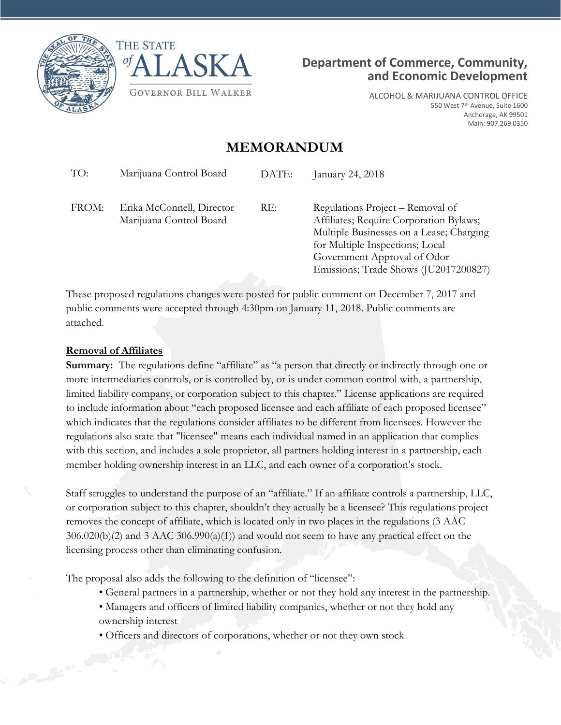





ALCOHOL & MARIJUANA CONTROL OFFICE 550 West 7<sup>th</sup> Avenue, Suite 1600 Anchorage, AK 99501 Main: 907.269.0350

# **MEMORANDUM**

|                                                                      | January 24, 2018                                                                                                                                                                                                                   |
|----------------------------------------------------------------------|------------------------------------------------------------------------------------------------------------------------------------------------------------------------------------------------------------------------------------|
| FROM:<br>RE:<br>Erika McConnell, Director<br>Marijuana Control Board | Regulations Project – Removal of<br>Affiliates; Require Corporation Bylaws;<br>Multiple Businesses on a Lease; Charging<br>for Multiple Inspections; Local<br>Government Approval of Odor<br>Emissions; Trade Shows (JU2017200827) |

These proposed regulations changes were posted for public comment on December 7, 2017 and public comments were accepted through 4:30pm on January 11, 2018. Public comments are attached.

#### **Removal of Affiliates**

**Summary:** The regulations define "affiliate" as "a person that directly or indirectly through one or more intermediaries controls, or is controlled by, or is under common control with, a partnership, limited liability company, or corporation subject to this chapter." License applications are required to include information about "each proposed licensee and each affiliate of each proposed licensee" which indicates that the regulations consider affiliates to be different from licensees. However the regulations also state that "licensee" means each individual named in an application that complies with this section, and includes a sole proprietor, all partners holding interest in a partnership, each member holding ownership interest in an LLC, and each owner of a corporation's stock.

Staff struggles to understand the purpose of an "affiliate." If an affiliate controls a partnership, LLC, or corporation subject to this chapter, shouldn't they actually be a licensee? This regulations project removes the concept of affiliate, which is located only in two places in the regulations (3 AAC  $306.020(b)(2)$  and 3 AAC  $306.990(a)(1)$  and would not seem to have any practical effect on the licensing process other than eliminating confusion.

The proposal also adds the following to the definition of "licensee":

- General partners in a partnership, whether or not they hold any interest in the partnership.
- Managers and officers of limited liability companies, whether or not they hold any ownership interest
- Officers and directors of corporations, whether or not they own stock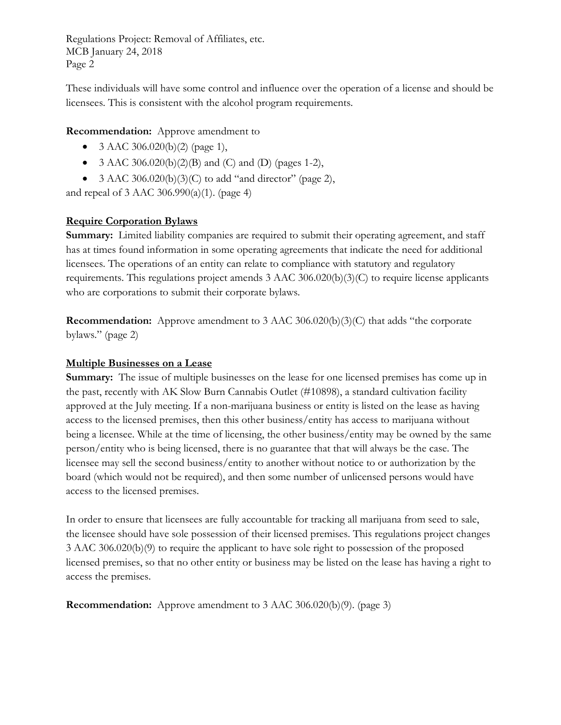Regulations Project: Removal of Affiliates, etc. MCB January 24, 2018 Page 2

These individuals will have some control and influence over the operation of a license and should be licensees. This is consistent with the alcohol program requirements.

## **Recommendation:** Approve amendment to

- 3 AAC 306.020(b)(2) (page 1),
- 3 AAC 306.020(b)(2)(B) and (C) and (D) (pages 1-2),
- 3 AAC 306.020(b)(3)(C) to add "and director" (page 2),

and repeal of 3 AAC 306.990(a)(1). (page 4)

# **Require Corporation Bylaws**

**Summary:** Limited liability companies are required to submit their operating agreement, and staff has at times found information in some operating agreements that indicate the need for additional licensees. The operations of an entity can relate to compliance with statutory and regulatory requirements. This regulations project amends 3 AAC 306.020(b)(3)(C) to require license applicants who are corporations to submit their corporate bylaws.

**Recommendation:** Approve amendment to 3 AAC 306.020(b)(3)(C) that adds "the corporate bylaws." (page 2)

#### **Multiple Businesses on a Lease**

**Summary:** The issue of multiple businesses on the lease for one licensed premises has come up in the past, recently with AK Slow Burn Cannabis Outlet (#10898), a standard cultivation facility approved at the July meeting. If a non-marijuana business or entity is listed on the lease as having access to the licensed premises, then this other business/entity has access to marijuana without being a licensee. While at the time of licensing, the other business/entity may be owned by the same person/entity who is being licensed, there is no guarantee that that will always be the case. The licensee may sell the second business/entity to another without notice to or authorization by the board (which would not be required), and then some number of unlicensed persons would have access to the licensed premises.

In order to ensure that licensees are fully accountable for tracking all marijuana from seed to sale, the licensee should have sole possession of their licensed premises. This regulations project changes 3 AAC 306.020(b)(9) to require the applicant to have sole right to possession of the proposed licensed premises, so that no other entity or business may be listed on the lease has having a right to access the premises.

**Recommendation:** Approve amendment to 3 AAC 306.020(b)(9). (page 3)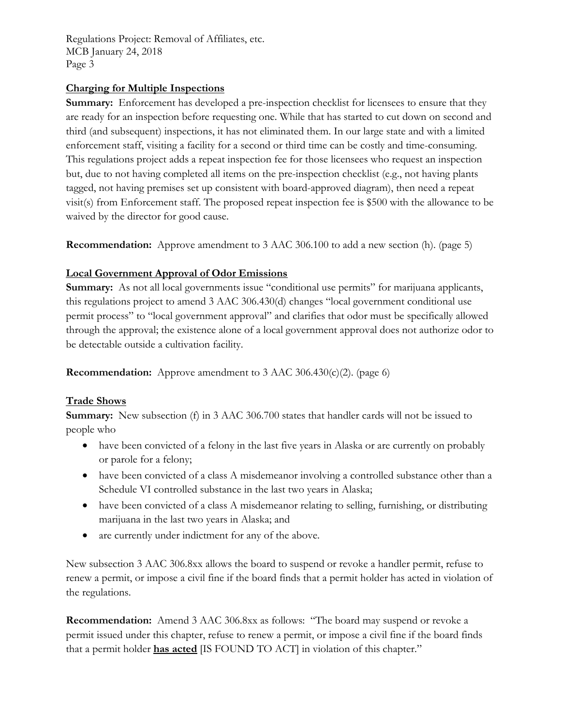Regulations Project: Removal of Affiliates, etc. MCB January 24, 2018 Page 3

# **Charging for Multiple Inspections**

**Summary:** Enforcement has developed a pre-inspection checklist for licensees to ensure that they are ready for an inspection before requesting one. While that has started to cut down on second and third (and subsequent) inspections, it has not eliminated them. In our large state and with a limited enforcement staff, visiting a facility for a second or third time can be costly and time-consuming. This regulations project adds a repeat inspection fee for those licensees who request an inspection but, due to not having completed all items on the pre-inspection checklist (e.g., not having plants tagged, not having premises set up consistent with board-approved diagram), then need a repeat visit(s) from Enforcement staff. The proposed repeat inspection fee is \$500 with the allowance to be waived by the director for good cause.

**Recommendation:** Approve amendment to 3 AAC 306.100 to add a new section (h). (page 5)

# **Local Government Approval of Odor Emissions**

**Summary:** As not all local governments issue "conditional use permits" for marijuana applicants, this regulations project to amend 3 AAC 306.430(d) changes "local government conditional use permit process" to "local government approval" and clarifies that odor must be specifically allowed through the approval; the existence alone of a local government approval does not authorize odor to be detectable outside a cultivation facility.

**Recommendation:** Approve amendment to 3 AAC 306.430(c)(2). (page 6)

## **Trade Shows**

**Summary:** New subsection (f) in 3 AAC 306.700 states that handler cards will not be issued to people who

- have been convicted of a felony in the last five years in Alaska or are currently on probably or parole for a felony;
- have been convicted of a class A misdemeanor involving a controlled substance other than a Schedule VI controlled substance in the last two years in Alaska;
- have been convicted of a class A misdemeanor relating to selling, furnishing, or distributing marijuana in the last two years in Alaska; and
- are currently under indictment for any of the above.

New subsection 3 AAC 306.8xx allows the board to suspend or revoke a handler permit, refuse to renew a permit, or impose a civil fine if the board finds that a permit holder has acted in violation of the regulations.

**Recommendation:** Amend 3 AAC 306.8xx as follows: "The board may suspend or revoke a permit issued under this chapter, refuse to renew a permit, or impose a civil fine if the board finds that a permit holder **has acted** [IS FOUND TO ACT] in violation of this chapter."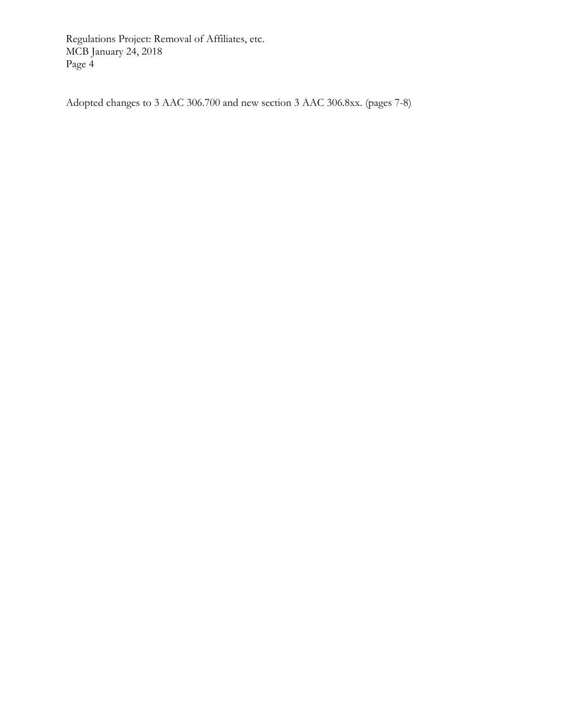Regulations Project: Removal of Affiliates, etc. MCB January 24, 2018 Page 4

Adopted changes to 3 AAC 306.700 and new section 3 AAC 306.8xx. (pages 7-8)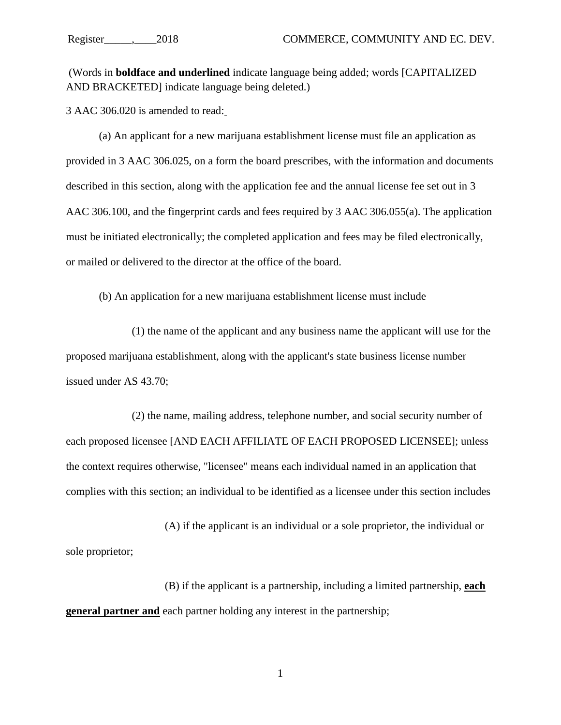(Words in **boldface and underlined** indicate language being added; words [CAPITALIZED AND BRACKETED] indicate language being deleted.)

[3 AAC 306.020 is amended to read:](http://www.akleg.gov/basis/aac.asp#3.306.020)

(a) An applicant for a new marijuana establishment license must file an application as provided in [3 AAC 306.025,](http://www.akleg.gov/basis/aac.asp#3.306.025) on a form the board prescribes, with the information and documents described in this section, along with the application fee and the annual license fee set out in [3](http://www.akleg.gov/basis/aac.asp#3.306.100)  [AAC 306.100,](http://www.akleg.gov/basis/aac.asp#3.306.100) and the fingerprint cards and fees required by [3 AAC 306.055\(](http://www.akleg.gov/basis/aac.asp#3.306.055)a). The application must be initiated electronically; the completed application and fees may be filed electronically, or mailed or delivered to the director at the office of the board.

(b) An application for a new marijuana establishment license must include

(1) the name of the applicant and any business name the applicant will use for the proposed marijuana establishment, along with the applicant's state business license number issued under [AS 43.70;](http://www.akleg.gov/basis/statutes.asp#43.70)

(2) the name, mailing address, telephone number, and social security number of each proposed licensee [AND EACH AFFILIATE OF EACH PROPOSED LICENSEE]; unless the context requires otherwise, "licensee" means each individual named in an application that complies with this section; an individual to be identified as a licensee under this section includes

(A) if the applicant is an individual or a sole proprietor, the individual or sole proprietor;

(B) if the applicant is a partnership, including a limited partnership, **each general partner and** each partner holding any interest in the partnership;

1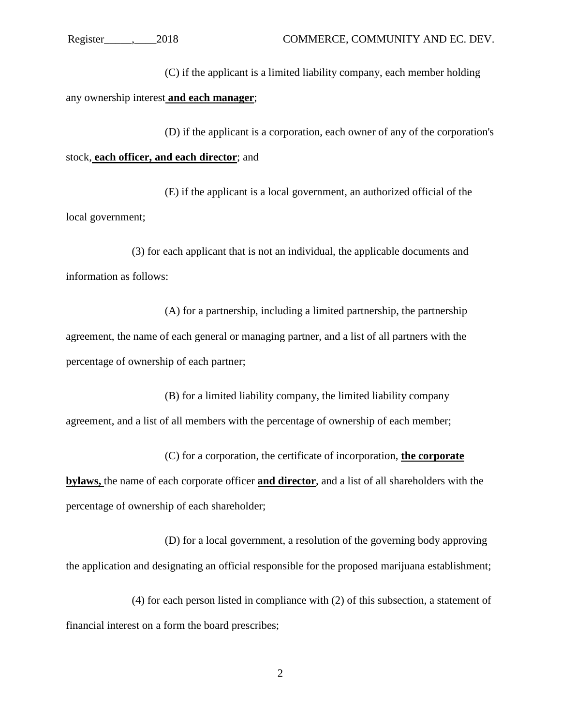(C) if the applicant is a limited liability company, each member holding any ownership interest **and each manager**;

(D) if the applicant is a corporation, each owner of any of the corporation's stock, **each officer, and each director**; and

(E) if the applicant is a local government, an authorized official of the local government;

(3) for each applicant that is not an individual, the applicable documents and information as follows:

(A) for a partnership, including a limited partnership, the partnership agreement, the name of each general or managing partner, and a list of all partners with the percentage of ownership of each partner;

(B) for a limited liability company, the limited liability company agreement, and a list of all members with the percentage of ownership of each member;

(C) for a corporation, the certificate of incorporation, **the corporate bylaws,** the name of each corporate officer **and director**, and a list of all shareholders with the percentage of ownership of each shareholder;

(D) for a local government, a resolution of the governing body approving the application and designating an official responsible for the proposed marijuana establishment;

(4) for each person listed in compliance with (2) of this subsection, a statement of financial interest on a form the board prescribes;

2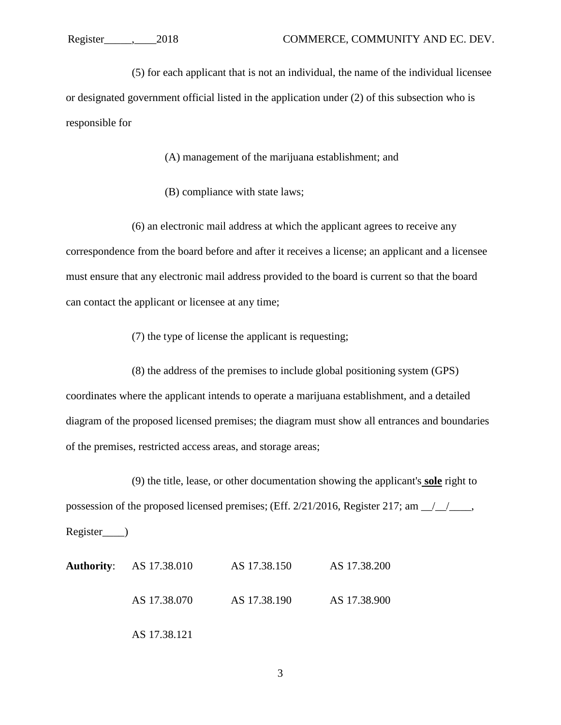(5) for each applicant that is not an individual, the name of the individual licensee or designated government official listed in the application under (2) of this subsection who is responsible for

(A) management of the marijuana establishment; and

(B) compliance with state laws;

(6) an electronic mail address at which the applicant agrees to receive any correspondence from the board before and after it receives a license; an applicant and a licensee must ensure that any electronic mail address provided to the board is current so that the board can contact the applicant or licensee at any time;

(7) the type of license the applicant is requesting;

(8) the address of the premises to include global positioning system (GPS) coordinates where the applicant intends to operate a marijuana establishment, and a detailed diagram of the proposed licensed premises; the diagram must show all entrances and boundaries of the premises, restricted access areas, and storage areas;

(9) the title, lease, or other documentation showing the applicant's **sole** right to possession of the proposed licensed premises; (Eff. 2/21/2016, Register 217; am \_\_/\_\_/\_\_\_\_, Register\_\_\_\_)

| <b>Authority:</b> AS 17.38.010 | AS 17.38.150 | AS 17.38.200 |
|--------------------------------|--------------|--------------|
| AS 17.38.070                   | AS 17.38.190 | AS 17.38.900 |
| AS 17.38.121                   |              |              |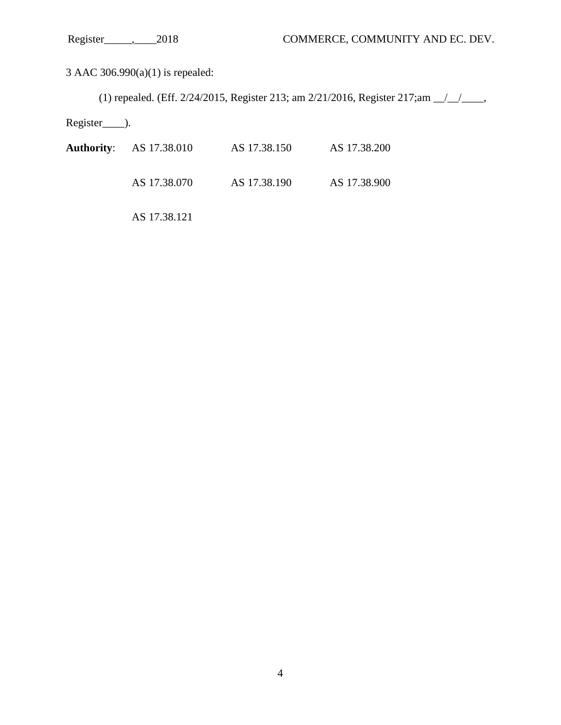3 AAC 306.990(a)(1) is repealed:

(1) repealed. (Eff.  $2/24/2015$ , Register 213; am  $2/21/2016$ , Register 217; am  $\frac{1}{2}$ 

Register<sub>\_\_\_\_</sub>).

| <b>Authority:</b> AS 17.38.010 | AS 17.38.150 | AS 17.38.200 |
|--------------------------------|--------------|--------------|
| AS 17.38.070                   | AS 17.38.190 | AS 17.38.900 |

AS 17.38.121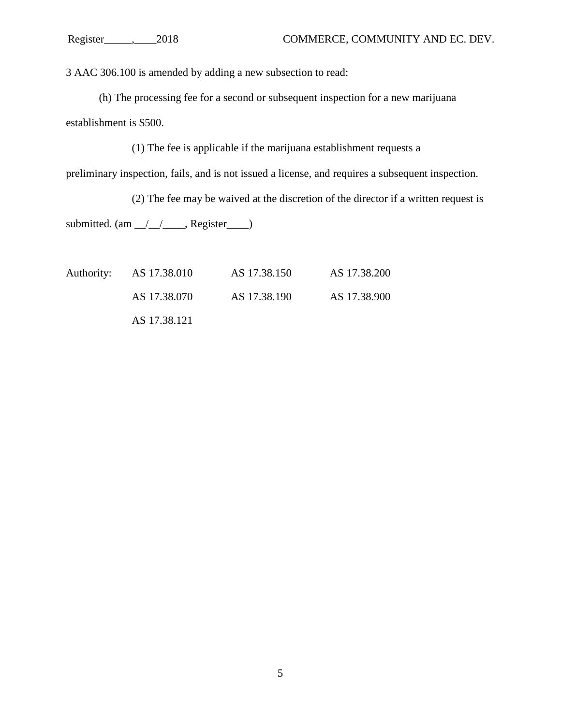3 AAC 306.100 is amended by adding a new subsection to read:

(h) The processing fee for a second or subsequent inspection for a new marijuana establishment is \$500.

(1) The fee is applicable if the marijuana establishment requests a

preliminary inspection, fails, and is not issued a license, and requires a subsequent inspection.

(2) The fee may be waived at the discretion of the director if a written request is submitted.  $(am_{\_}/\_/\_$ , Register $\_$ )

| Authority: AS 17.38.010 | AS 17.38.150 | AS 17.38.200 |
|-------------------------|--------------|--------------|
| AS 17.38.070            | AS 17.38.190 | AS 17.38.900 |
| AS 17.38.121            |              |              |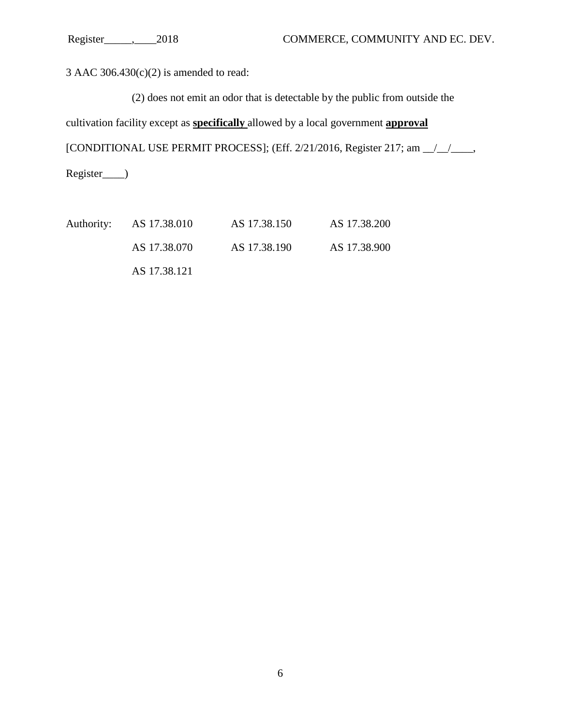3 AAC 306.430(c)(2) is amended to read:

(2) does not emit an odor that is detectable by the public from outside the

cultivation facility except as **specifically** allowed by a local government **approval**

[CONDITIONAL USE PERMIT PROCESS]; (Eff. 2/21/2016, Register 217; am \_\_/\_\_/\_\_\_\_,

Register\_\_\_\_)

| Authority: AS 17.38.010 | AS 17.38.150 | AS 17.38.200 |
|-------------------------|--------------|--------------|
| AS 17.38.070            | AS 17.38.190 | AS 17.38.900 |
| AS 17.38.121            |              |              |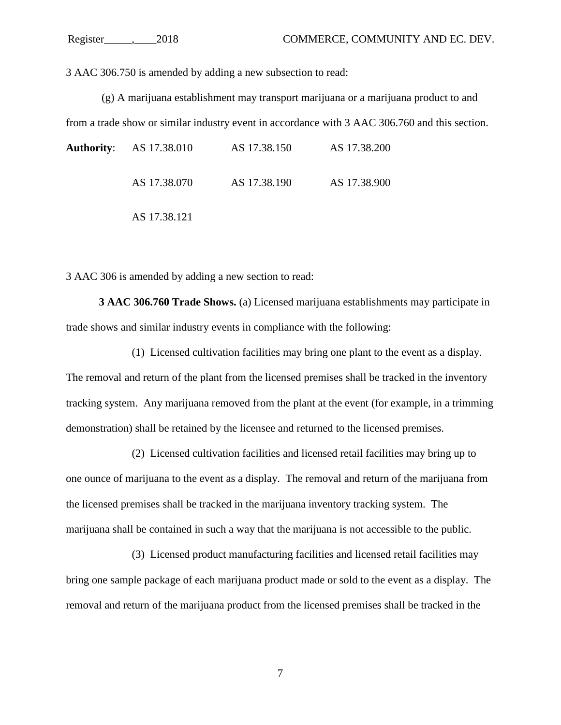3 AAC 306.750 is amended by adding a new subsection to read:

(g) A marijuana establishment may transport marijuana or a marijuana product to and from a trade show or similar industry event in accordance with 3 AAC 306.760 and this section.

| <b>Authority:</b> AS 17.38.010 | AS 17.38.150 | AS 17.38.200 |
|--------------------------------|--------------|--------------|
| AS 17.38.070                   | AS 17.38.190 | AS 17.38.900 |
| AS 17.38.121                   |              |              |

3 AAC 306 is amended by adding a new section to read:

**3 AAC 306.760 Trade Shows.** (a) Licensed marijuana establishments may participate in trade shows and similar industry events in compliance with the following:

(1) Licensed cultivation facilities may bring one plant to the event as a display. The removal and return of the plant from the licensed premises shall be tracked in the inventory tracking system. Any marijuana removed from the plant at the event (for example, in a trimming demonstration) shall be retained by the licensee and returned to the licensed premises.

(2) Licensed cultivation facilities and licensed retail facilities may bring up to one ounce of marijuana to the event as a display. The removal and return of the marijuana from the licensed premises shall be tracked in the marijuana inventory tracking system. The marijuana shall be contained in such a way that the marijuana is not accessible to the public.

(3) Licensed product manufacturing facilities and licensed retail facilities may bring one sample package of each marijuana product made or sold to the event as a display. The removal and return of the marijuana product from the licensed premises shall be tracked in the

7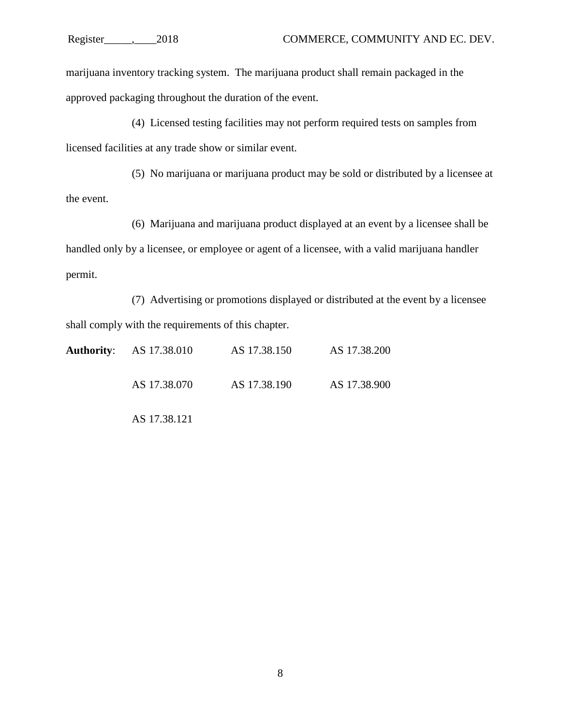marijuana inventory tracking system. The marijuana product shall remain packaged in the approved packaging throughout the duration of the event.

(4) Licensed testing facilities may not perform required tests on samples from licensed facilities at any trade show or similar event.

(5) No marijuana or marijuana product may be sold or distributed by a licensee at the event.

(6) Marijuana and marijuana product displayed at an event by a licensee shall be handled only by a licensee, or employee or agent of a licensee, with a valid marijuana handler permit.

(7) Advertising or promotions displayed or distributed at the event by a licensee shall comply with the requirements of this chapter.

| <b>Authority:</b> AS 17.38.010 | AS 17.38.150 | AS 17.38.200 |
|--------------------------------|--------------|--------------|
| AS 17.38.070                   | AS 17.38.190 | AS 17.38.900 |

AS 17.38.121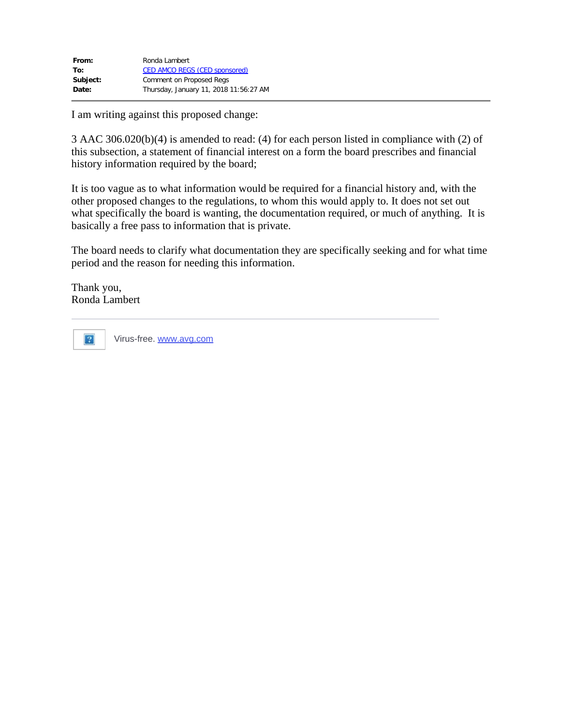| From:    | Ronda Lambert                          |
|----------|----------------------------------------|
| To:      | <b>CED AMCO REGS (CED sponsored)</b>   |
| Subject: | Comment on Proposed Regs               |
| Date:    | Thursday, January 11, 2018 11:56:27 AM |
|          |                                        |

I am writing against this proposed change:

3 AAC 306.020(b)(4) is amended to read: (4) for each person listed in compliance with (2) of this subsection, a statement of financial interest on a form the board prescribes and financial history information required by the board;

It is too vague as to what information would be required for a financial history and, with the other proposed changes to the regulations, to whom this would apply to. It does not set out what specifically the board is wanting, the documentation required, or much of anything. It is basically a free pass to information that is private.

The board needs to clarify what documentation they are specifically seeking and for what time period and the reason for needing this information.

Thank you, Ronda Lambert



Virus-free. [www.avg.com](http://www.avg.com/email-signature?utm_medium=email&utm_source=link&utm_campaign=sig-email&utm_content=webmail)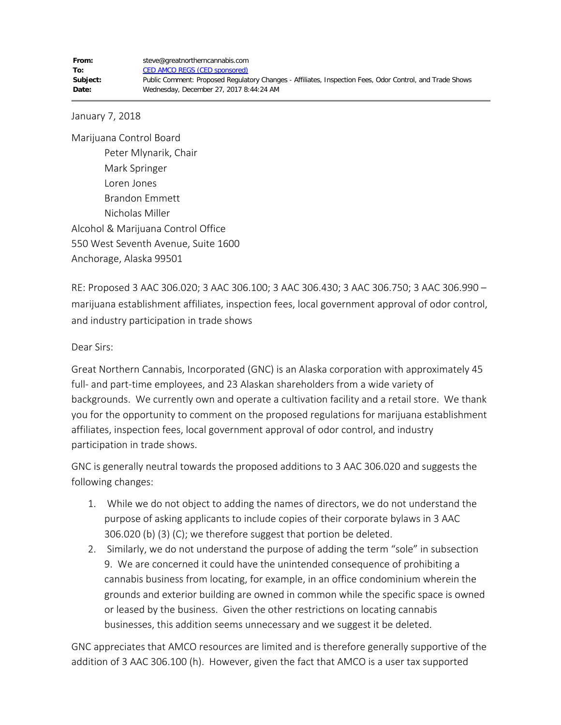January 7, 2018

Marijuana Control Board Peter Mlynarik, Chair Mark Springer Loren Jones Brandon Emmett Nicholas Miller Alcohol & Marijuana Control Office 550 West Seventh Avenue, Suite 1600 Anchorage, Alaska 99501

RE: Proposed 3 AAC 306.020; 3 AAC 306.100; 3 AAC 306.430; 3 AAC 306.750; 3 AAC 306.990 – marijuana establishment affiliates, inspection fees, local government approval of odor control, and industry participation in trade shows

Dear Sirs:

Great Northern Cannabis, Incorporated (GNC) is an Alaska corporation with approximately 45 full- and part-time employees, and 23 Alaskan shareholders from a wide variety of backgrounds. We currently own and operate a cultivation facility and a retail store. We thank you for the opportunity to comment on the proposed regulations for marijuana establishment affiliates, inspection fees, local government approval of odor control, and industry participation in trade shows.

GNC is generally neutral towards the proposed additions to 3 AAC 306.020 and suggests the following changes:

- 1. While we do not object to adding the names of directors, we do not understand the purpose of asking applicants to include copies of their corporate bylaws in 3 AAC 306.020 (b) (3) (C); we therefore suggest that portion be deleted.
- 2. Similarly, we do not understand the purpose of adding the term "sole" in subsection 9. We are concerned it could have the unintended consequence of prohibiting a cannabis business from locating, for example, in an office condominium wherein the grounds and exterior building are owned in common while the specific space is owned or leased by the business. Given the other restrictions on locating cannabis businesses, this addition seems unnecessary and we suggest it be deleted.

GNC appreciates that AMCO resources are limited and is therefore generally supportive of the addition of 3 AAC 306.100 (h). However, given the fact that AMCO is a user tax supported